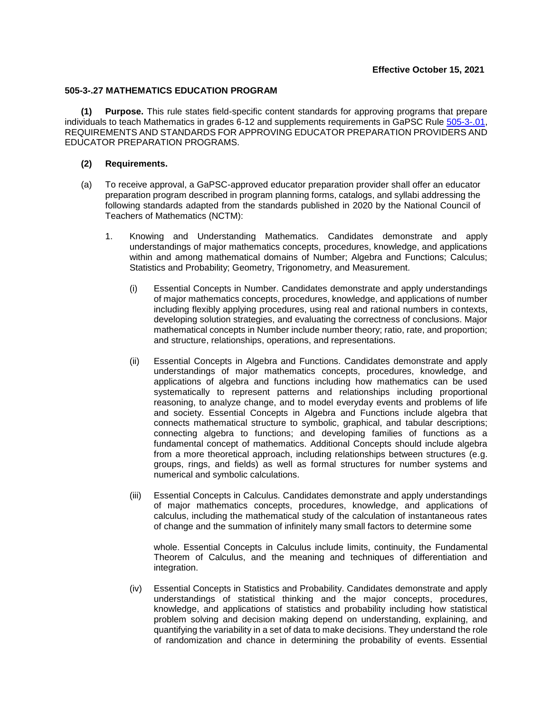## **505-3-.27 MATHEMATICS EDUCATION PROGRAM**

**(1) Purpose.** This rule states field-specific content standards for approving programs that prepare individuals to teach Mathematics in grades 6-12 and supplements requirements in GaPSC Rule [505-3-.01,](https://www.gapsc.com/Rules/Current/EducatorPreparation/505-3-.01.pdf?dt=%3C%25) REQUIREMENTS AND STANDARDS FOR APPROVING EDUCATOR PREPARATION PROVIDERS AND EDUCATOR PREPARATION PROGRAMS.

## **(2) Requirements.**

- (a) To receive approval, a GaPSC-approved educator preparation provider shall offer an educator preparation program described in program planning forms, catalogs, and syllabi addressing the following standards adapted from the standards published in 2020 by the National Council of Teachers of Mathematics (NCTM):
	- 1. Knowing and Understanding Mathematics. Candidates demonstrate and apply understandings of major mathematics concepts, procedures, knowledge, and applications within and among mathematical domains of Number; Algebra and Functions; Calculus; Statistics and Probability; Geometry, Trigonometry, and Measurement.
		- (i) Essential Concepts in Number. Candidates demonstrate and apply understandings of major mathematics concepts, procedures, knowledge, and applications of number including flexibly applying procedures, using real and rational numbers in contexts, developing solution strategies, and evaluating the correctness of conclusions. Major mathematical concepts in Number include number theory; ratio, rate, and proportion; and structure, relationships, operations, and representations.
		- (ii) Essential Concepts in Algebra and Functions. Candidates demonstrate and apply understandings of major mathematics concepts, procedures, knowledge, and applications of algebra and functions including how mathematics can be used systematically to represent patterns and relationships including proportional reasoning, to analyze change, and to model everyday events and problems of life and society. Essential Concepts in Algebra and Functions include algebra that connects mathematical structure to symbolic, graphical, and tabular descriptions; connecting algebra to functions; and developing families of functions as a fundamental concept of mathematics. Additional Concepts should include algebra from a more theoretical approach, including relationships between structures (e.g. groups, rings, and fields) as well as formal structures for number systems and numerical and symbolic calculations.
		- (iii) Essential Concepts in Calculus. Candidates demonstrate and apply understandings of major mathematics concepts, procedures, knowledge, and applications of calculus, including the mathematical study of the calculation of instantaneous rates of change and the summation of infinitely many small factors to determine some

whole. Essential Concepts in Calculus include limits, continuity, the Fundamental Theorem of Calculus, and the meaning and techniques of differentiation and integration.

(iv) Essential Concepts in Statistics and Probability. Candidates demonstrate and apply understandings of statistical thinking and the major concepts, procedures, knowledge, and applications of statistics and probability including how statistical problem solving and decision making depend on understanding, explaining, and quantifying the variability in a set of data to make decisions. They understand the role of randomization and chance in determining the probability of events. Essential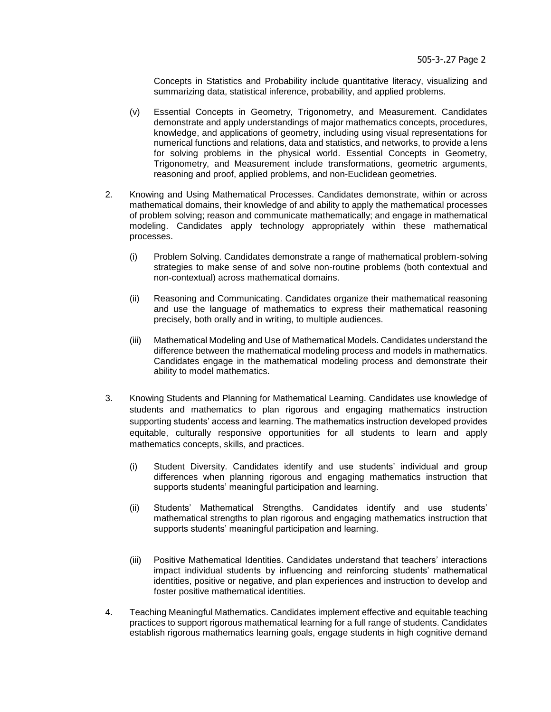Concepts in Statistics and Probability include quantitative literacy, visualizing and summarizing data, statistical inference, probability, and applied problems.

- (v) Essential Concepts in Geometry, Trigonometry, and Measurement. Candidates demonstrate and apply understandings of major mathematics concepts, procedures, knowledge, and applications of geometry, including using visual representations for numerical functions and relations, data and statistics, and networks, to provide a lens for solving problems in the physical world. Essential Concepts in Geometry, Trigonometry, and Measurement include transformations, geometric arguments, reasoning and proof, applied problems, and non-Euclidean geometries.
- 2. Knowing and Using Mathematical Processes. Candidates demonstrate, within or across mathematical domains, their knowledge of and ability to apply the mathematical processes of problem solving; reason and communicate mathematically; and engage in mathematical modeling. Candidates apply technology appropriately within these mathematical processes.
	- (i) Problem Solving. Candidates demonstrate a range of mathematical problem-solving strategies to make sense of and solve non-routine problems (both contextual and non-contextual) across mathematical domains.
	- (ii) Reasoning and Communicating. Candidates organize their mathematical reasoning and use the language of mathematics to express their mathematical reasoning precisely, both orally and in writing, to multiple audiences.
	- (iii) Mathematical Modeling and Use of Mathematical Models. Candidates understand the difference between the mathematical modeling process and models in mathematics. Candidates engage in the mathematical modeling process and demonstrate their ability to model mathematics.
- 3. Knowing Students and Planning for Mathematical Learning. Candidates use knowledge of students and mathematics to plan rigorous and engaging mathematics instruction supporting students' access and learning. The mathematics instruction developed provides equitable, culturally responsive opportunities for all students to learn and apply mathematics concepts, skills, and practices.
	- (i) Student Diversity. Candidates identify and use students' individual and group differences when planning rigorous and engaging mathematics instruction that supports students' meaningful participation and learning.
	- (ii) Students' Mathematical Strengths. Candidates identify and use students' mathematical strengths to plan rigorous and engaging mathematics instruction that supports students' meaningful participation and learning.
	- (iii) Positive Mathematical Identities. Candidates understand that teachers' interactions impact individual students by influencing and reinforcing students' mathematical identities, positive or negative, and plan experiences and instruction to develop and foster positive mathematical identities.
- 4. Teaching Meaningful Mathematics. Candidates implement effective and equitable teaching practices to support rigorous mathematical learning for a full range of students. Candidates establish rigorous mathematics learning goals, engage students in high cognitive demand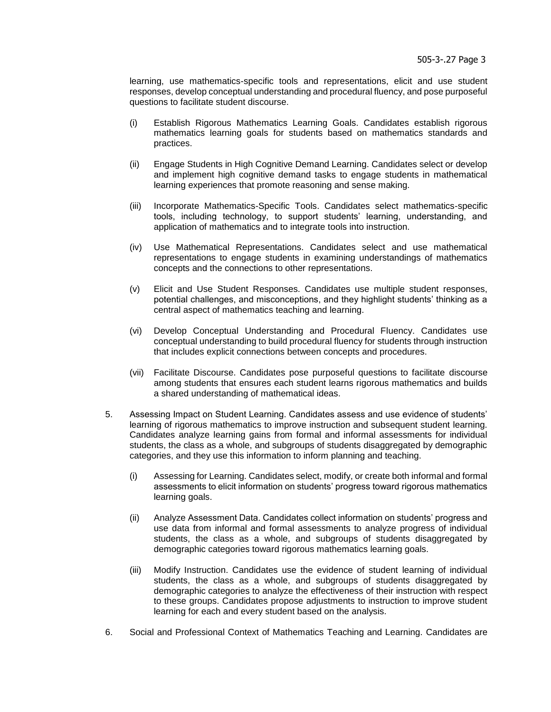learning, use mathematics-specific tools and representations, elicit and use student responses, develop conceptual understanding and procedural fluency, and pose purposeful questions to facilitate student discourse.

- (i) Establish Rigorous Mathematics Learning Goals. Candidates establish rigorous mathematics learning goals for students based on mathematics standards and practices.
- (ii) Engage Students in High Cognitive Demand Learning. Candidates select or develop and implement high cognitive demand tasks to engage students in mathematical learning experiences that promote reasoning and sense making.
- (iii) Incorporate Mathematics-Specific Tools. Candidates select mathematics-specific tools, including technology, to support students' learning, understanding, and application of mathematics and to integrate tools into instruction.
- (iv) Use Mathematical Representations. Candidates select and use mathematical representations to engage students in examining understandings of mathematics concepts and the connections to other representations.
- (v) Elicit and Use Student Responses. Candidates use multiple student responses, potential challenges, and misconceptions, and they highlight students' thinking as a central aspect of mathematics teaching and learning.
- (vi) Develop Conceptual Understanding and Procedural Fluency. Candidates use conceptual understanding to build procedural fluency for students through instruction that includes explicit connections between concepts and procedures.
- (vii) Facilitate Discourse. Candidates pose purposeful questions to facilitate discourse among students that ensures each student learns rigorous mathematics and builds a shared understanding of mathematical ideas.
- 5. Assessing Impact on Student Learning. Candidates assess and use evidence of students' learning of rigorous mathematics to improve instruction and subsequent student learning. Candidates analyze learning gains from formal and informal assessments for individual students, the class as a whole, and subgroups of students disaggregated by demographic categories, and they use this information to inform planning and teaching.
	- (i) Assessing for Learning. Candidates select, modify, or create both informal and formal assessments to elicit information on students' progress toward rigorous mathematics learning goals.
	- (ii) Analyze Assessment Data. Candidates collect information on students' progress and use data from informal and formal assessments to analyze progress of individual students, the class as a whole, and subgroups of students disaggregated by demographic categories toward rigorous mathematics learning goals.
	- (iii) Modify Instruction. Candidates use the evidence of student learning of individual students, the class as a whole, and subgroups of students disaggregated by demographic categories to analyze the effectiveness of their instruction with respect to these groups. Candidates propose adjustments to instruction to improve student learning for each and every student based on the analysis.
- 6. Social and Professional Context of Mathematics Teaching and Learning. Candidates are